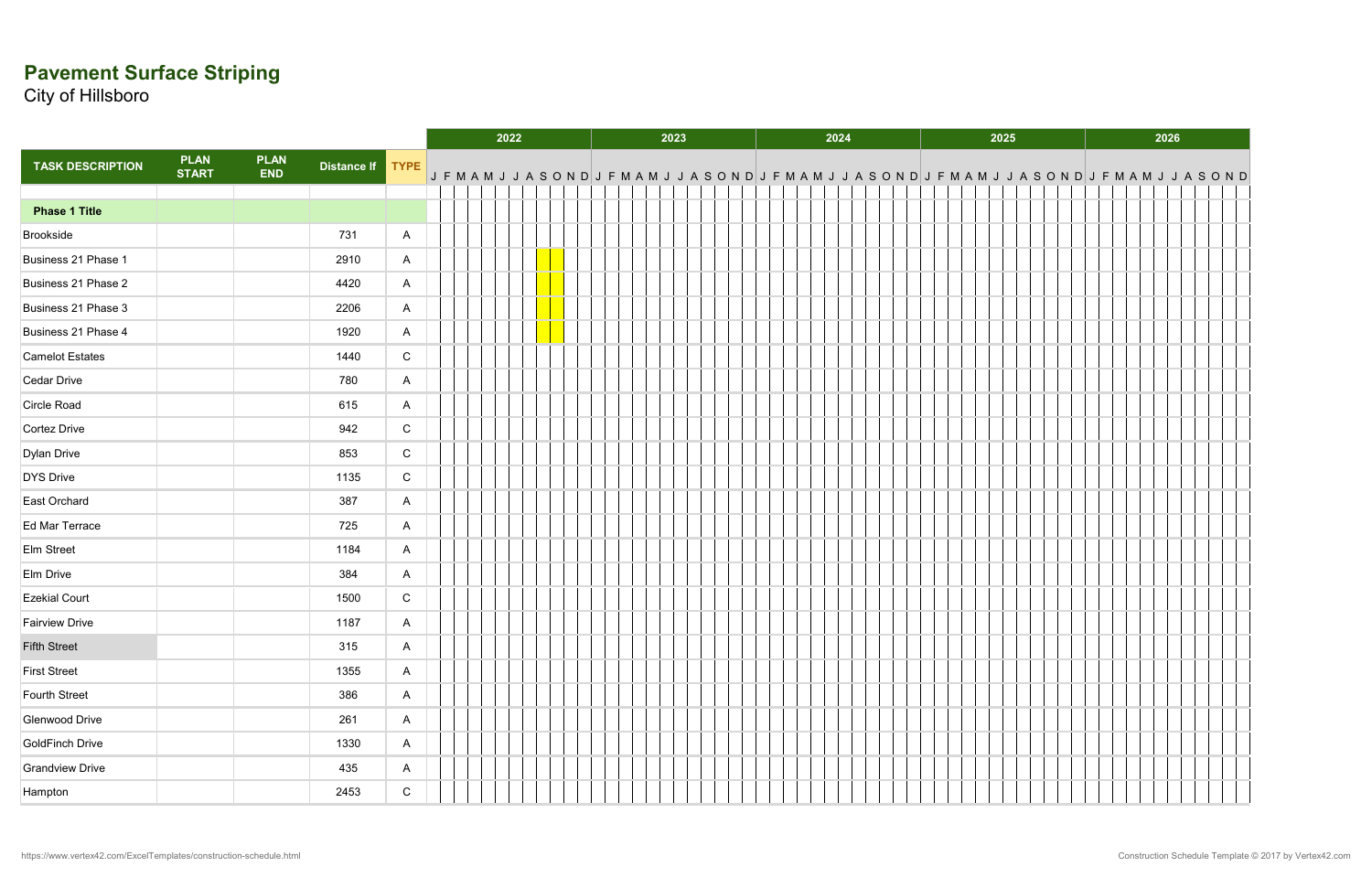## **Pavement Surface Striping**

City of Hillsboro

|                         |                             |                           |                  |              |  | 2022                                                                                                                                                                                   |  | 2023 |  | 2024 |  | 2025 |  |  |  |  | 2026 |  |  |  |  |
|-------------------------|-----------------------------|---------------------------|------------------|--------------|--|----------------------------------------------------------------------------------------------------------------------------------------------------------------------------------------|--|------|--|------|--|------|--|--|--|--|------|--|--|--|--|
| <b>TASK DESCRIPTION</b> | <b>PLAN</b><br><b>START</b> | <b>PLAN</b><br><b>END</b> | Distance If TYPE |              |  |                                                                                                                                                                                        |  |      |  |      |  |      |  |  |  |  |      |  |  |  |  |
|                         |                             |                           |                  |              |  | $\begin{array}{c} \mid \texttt{J F M A M J J A S O N D} \mid \texttt{J F M A M J J A S O N D} \mid \texttt{J F M A M J J A S O N D} \mid \texttt{J F M A M J J A S O N D} \end{array}$ |  |      |  |      |  |      |  |  |  |  |      |  |  |  |  |
| <b>Phase 1 Title</b>    |                             |                           |                  |              |  |                                                                                                                                                                                        |  |      |  |      |  |      |  |  |  |  |      |  |  |  |  |
| Brookside               |                             |                           | 731              | $\mathsf{A}$ |  |                                                                                                                                                                                        |  |      |  |      |  |      |  |  |  |  |      |  |  |  |  |
| Business 21 Phase 1     |                             |                           | 2910             | $\mathsf{A}$ |  |                                                                                                                                                                                        |  |      |  |      |  |      |  |  |  |  |      |  |  |  |  |
| Business 21 Phase 2     |                             |                           | 4420             | $\mathsf{A}$ |  |                                                                                                                                                                                        |  |      |  |      |  |      |  |  |  |  |      |  |  |  |  |
| Business 21 Phase 3     |                             |                           | 2206             | $\mathsf{A}$ |  |                                                                                                                                                                                        |  |      |  |      |  |      |  |  |  |  |      |  |  |  |  |
| Business 21 Phase 4     |                             |                           | 1920             | $\mathsf{A}$ |  |                                                                                                                                                                                        |  |      |  |      |  |      |  |  |  |  |      |  |  |  |  |
| <b>Camelot Estates</b>  |                             |                           | 1440             | $\mathsf C$  |  |                                                                                                                                                                                        |  |      |  |      |  |      |  |  |  |  |      |  |  |  |  |
| Cedar Drive             |                             |                           | 780              | $\mathsf{A}$ |  |                                                                                                                                                                                        |  |      |  |      |  |      |  |  |  |  |      |  |  |  |  |
| Circle Road             |                             |                           | 615              | $\mathsf{A}$ |  |                                                                                                                                                                                        |  |      |  |      |  |      |  |  |  |  |      |  |  |  |  |
| Cortez Drive            |                             |                           | 942              | ${\rm C}$    |  |                                                                                                                                                                                        |  |      |  |      |  |      |  |  |  |  |      |  |  |  |  |
| Dylan Drive             |                             |                           | 853              | $\mathsf C$  |  |                                                                                                                                                                                        |  |      |  |      |  |      |  |  |  |  |      |  |  |  |  |
| <b>DYS Drive</b>        |                             |                           | 1135             | $\mathsf C$  |  |                                                                                                                                                                                        |  |      |  |      |  |      |  |  |  |  |      |  |  |  |  |
| East Orchard            |                             |                           | 387              | $\mathsf{A}$ |  |                                                                                                                                                                                        |  |      |  |      |  |      |  |  |  |  |      |  |  |  |  |
| Ed Mar Terrace          |                             |                           | 725              | $\mathsf{A}$ |  |                                                                                                                                                                                        |  |      |  |      |  |      |  |  |  |  |      |  |  |  |  |
| Elm Street              |                             |                           | 1184             | $\mathsf{A}$ |  |                                                                                                                                                                                        |  |      |  |      |  |      |  |  |  |  |      |  |  |  |  |
| Elm Drive               |                             |                           | 384              | $\mathsf{A}$ |  |                                                                                                                                                                                        |  |      |  |      |  |      |  |  |  |  |      |  |  |  |  |
| <b>Ezekial Court</b>    |                             |                           | 1500             | $\mathsf{C}$ |  |                                                                                                                                                                                        |  |      |  |      |  |      |  |  |  |  |      |  |  |  |  |
| <b>Fairview Drive</b>   |                             |                           | 1187             | $\mathsf{A}$ |  |                                                                                                                                                                                        |  |      |  |      |  |      |  |  |  |  |      |  |  |  |  |
| <b>Fifth Street</b>     |                             |                           | 315              | $\mathsf{A}$ |  |                                                                                                                                                                                        |  |      |  |      |  |      |  |  |  |  |      |  |  |  |  |
| <b>First Street</b>     |                             |                           | 1355             | $\mathsf{A}$ |  |                                                                                                                                                                                        |  |      |  |      |  |      |  |  |  |  |      |  |  |  |  |
| Fourth Street           |                             |                           | 386              | $\mathsf{A}$ |  |                                                                                                                                                                                        |  |      |  |      |  |      |  |  |  |  |      |  |  |  |  |
| Glenwood Drive          |                             |                           | 261              | $\mathsf{A}$ |  |                                                                                                                                                                                        |  |      |  |      |  |      |  |  |  |  |      |  |  |  |  |
| GoldFinch Drive         |                             |                           | 1330             | $\mathsf{A}$ |  |                                                                                                                                                                                        |  |      |  |      |  |      |  |  |  |  |      |  |  |  |  |
| <b>Grandview Drive</b>  |                             |                           | 435              | $\mathsf{A}$ |  |                                                                                                                                                                                        |  |      |  |      |  |      |  |  |  |  |      |  |  |  |  |
| Hampton                 |                             |                           | 2453             | ${\bf C}$    |  |                                                                                                                                                                                        |  |      |  |      |  |      |  |  |  |  |      |  |  |  |  |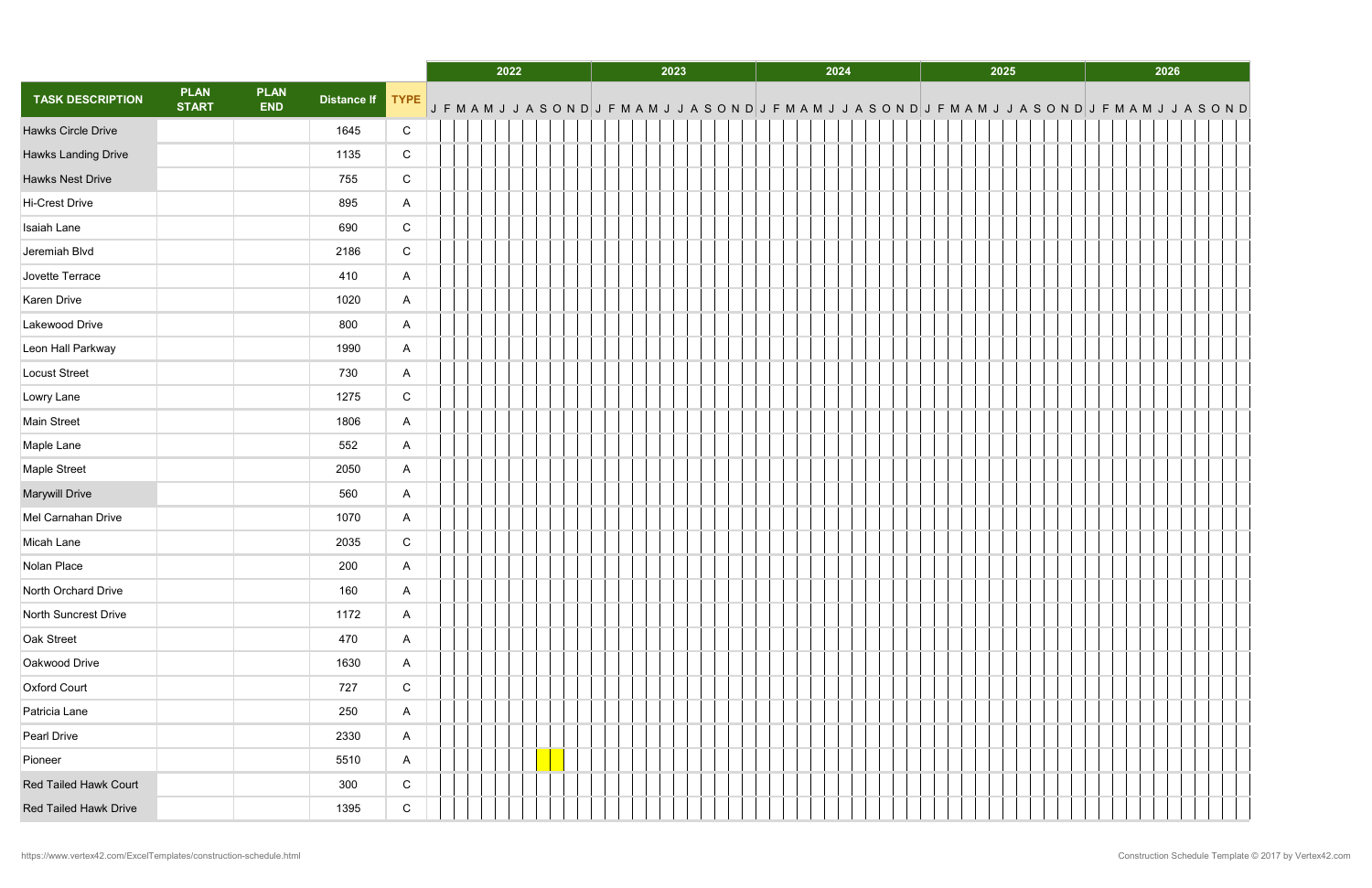|                              |                             |                           |                  |              | 2022 |  |  |  | 2023 |  |  |  |  | 2024 |  |                                                                                                             | 2025 | 2026 |  |  |  |  |  |
|------------------------------|-----------------------------|---------------------------|------------------|--------------|------|--|--|--|------|--|--|--|--|------|--|-------------------------------------------------------------------------------------------------------------|------|------|--|--|--|--|--|
| <b>TASK DESCRIPTION</b>      | <b>PLAN</b><br><b>START</b> | <b>PLAN</b><br><b>END</b> | Distance If TYPE |              |      |  |  |  |      |  |  |  |  |      |  | J F M A M J J A S O N D J F M A M J J A S O N D J F S O N D J F M A M J J A S O N D J F M A M J J A S O N D |      |      |  |  |  |  |  |
| <b>Hawks Circle Drive</b>    |                             |                           | 1645             | ${\bf C}$    |      |  |  |  |      |  |  |  |  |      |  |                                                                                                             |      |      |  |  |  |  |  |
| Hawks Landing Drive          |                             |                           | 1135             | $\mathsf C$  |      |  |  |  |      |  |  |  |  |      |  |                                                                                                             |      |      |  |  |  |  |  |
| <b>Hawks Nest Drive</b>      |                             |                           | 755              | $\mathsf{C}$ |      |  |  |  |      |  |  |  |  |      |  |                                                                                                             |      |      |  |  |  |  |  |
| Hi-Crest Drive               |                             |                           | 895              | $\mathsf{A}$ |      |  |  |  |      |  |  |  |  |      |  |                                                                                                             |      |      |  |  |  |  |  |
| Isaiah Lane                  |                             |                           | 690              | $\mathsf{C}$ |      |  |  |  |      |  |  |  |  |      |  |                                                                                                             |      |      |  |  |  |  |  |
| Jeremiah Blvd                |                             |                           | 2186             | ${\rm C}$    |      |  |  |  |      |  |  |  |  |      |  |                                                                                                             |      |      |  |  |  |  |  |
| Jovette Terrace              |                             |                           | 410              | $\mathsf{A}$ |      |  |  |  |      |  |  |  |  |      |  |                                                                                                             |      |      |  |  |  |  |  |
| Karen Drive                  |                             |                           | 1020             | $\mathsf{A}$ |      |  |  |  |      |  |  |  |  |      |  |                                                                                                             |      |      |  |  |  |  |  |
| Lakewood Drive               |                             |                           | 800              | $\mathsf{A}$ |      |  |  |  |      |  |  |  |  |      |  |                                                                                                             |      |      |  |  |  |  |  |
| Leon Hall Parkway            |                             |                           | 1990             | A            |      |  |  |  |      |  |  |  |  |      |  |                                                                                                             |      |      |  |  |  |  |  |
| Locust Street                |                             |                           | 730              | $\mathsf{A}$ |      |  |  |  |      |  |  |  |  |      |  |                                                                                                             |      |      |  |  |  |  |  |
| Lowry Lane                   |                             |                           | 1275             | $\mathsf{C}$ |      |  |  |  |      |  |  |  |  |      |  |                                                                                                             |      |      |  |  |  |  |  |
| Main Street                  |                             |                           | 1806             | $\mathsf{A}$ |      |  |  |  |      |  |  |  |  |      |  |                                                                                                             |      |      |  |  |  |  |  |
| Maple Lane                   |                             |                           | 552              | $\mathsf{A}$ |      |  |  |  |      |  |  |  |  |      |  |                                                                                                             |      |      |  |  |  |  |  |
| Maple Street                 |                             |                           | 2050             | $\mathsf{A}$ |      |  |  |  |      |  |  |  |  |      |  |                                                                                                             |      |      |  |  |  |  |  |
| <b>Marywill Drive</b>        |                             |                           | 560              | $\mathsf{A}$ |      |  |  |  |      |  |  |  |  |      |  |                                                                                                             |      |      |  |  |  |  |  |
| Mel Carnahan Drive           |                             |                           | 1070             | A            |      |  |  |  |      |  |  |  |  |      |  |                                                                                                             |      |      |  |  |  |  |  |
| Micah Lane                   |                             |                           | 2035             | ${\bf C}$    |      |  |  |  |      |  |  |  |  |      |  |                                                                                                             |      |      |  |  |  |  |  |
| Nolan Place                  |                             |                           | 200              | $\mathsf{A}$ |      |  |  |  |      |  |  |  |  |      |  |                                                                                                             |      |      |  |  |  |  |  |
| North Orchard Drive          |                             |                           | 160              | $\mathsf{A}$ |      |  |  |  |      |  |  |  |  |      |  |                                                                                                             |      |      |  |  |  |  |  |
| North Suncrest Drive         |                             |                           | 1172             | $\mathsf{A}$ |      |  |  |  |      |  |  |  |  |      |  |                                                                                                             |      |      |  |  |  |  |  |
| Oak Street                   |                             |                           | 470              | $\mathsf{A}$ |      |  |  |  |      |  |  |  |  |      |  |                                                                                                             |      |      |  |  |  |  |  |
| Oakwood Drive                |                             |                           | 1630             | $\mathsf{A}$ |      |  |  |  |      |  |  |  |  |      |  |                                                                                                             |      |      |  |  |  |  |  |
| Oxford Court                 |                             |                           | 727              | $\mathsf{C}$ |      |  |  |  |      |  |  |  |  |      |  |                                                                                                             |      |      |  |  |  |  |  |
| Patricia Lane                |                             |                           | 250              | $\mathsf{A}$ |      |  |  |  |      |  |  |  |  |      |  |                                                                                                             |      |      |  |  |  |  |  |
| Pearl Drive                  |                             |                           | 2330             | $\mathsf{A}$ |      |  |  |  |      |  |  |  |  |      |  |                                                                                                             |      |      |  |  |  |  |  |
| Pioneer                      |                             |                           | 5510             | $\mathsf{A}$ |      |  |  |  |      |  |  |  |  |      |  |                                                                                                             |      |      |  |  |  |  |  |
| <b>Red Tailed Hawk Court</b> |                             |                           | 300              | $\mathsf C$  |      |  |  |  |      |  |  |  |  |      |  |                                                                                                             |      |      |  |  |  |  |  |
| <b>Red Tailed Hawk Drive</b> |                             |                           | 1395             | $\mathsf{C}$ |      |  |  |  |      |  |  |  |  |      |  |                                                                                                             |      |      |  |  |  |  |  |